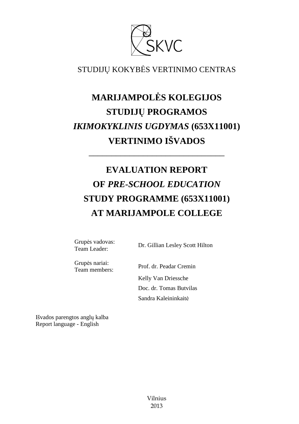

STUDIJŲ KOKYBĖS VERTINIMO CENTRAS

# **MARIJAMPOLĖS KOLEGIJOS STUDIJŲ PROGRAMOS**  *IKIMOKYKLINIS UGDYMAS* **(653X11001) VERTINIMO IŠVADOS**

# **EVALUATION REPORT OF** *PRE-SCHOOL EDUCATION* **STUDY PROGRAMME (653X11001) AT MARIJAMPOLE COLLEGE**

––––––––––––––––––––––––––––––

Grupės vadovas:<br>Team Leader:

Dr. Gillian Lesley Scott Hilton

Grupės nariai:

Team members: Prof. dr. Peadar Cremin Kelly Van Driessche Doc. dr. Tomas Butvilas Sandra Kaleininkaitė

Išvados parengtos anglų kalba Report language - English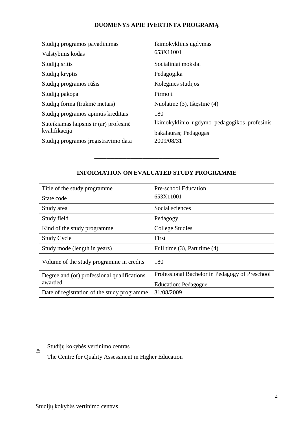#### **DUOMENYS APIE ĮVERTINTĄ PROGRAMĄ**

| Studijų programos pavadinimas          | Ikimokyklinis ugdymas                       |
|----------------------------------------|---------------------------------------------|
| Valstybinis kodas                      | 653X11001                                   |
| Studijų sritis                         | Socialiniai mokslai                         |
| Studijų kryptis                        | Pedagogika                                  |
| Studijų programos rūšis                | Koleginės studijos                          |
| Studijų pakopa                         | Pirmoji                                     |
| Studijų forma (trukmė metais)          | Nuolatinė (3), Ištęstinė (4)                |
| Studijų programos apimtis kreditais    | 180                                         |
| Suteikiamas laipsnis ir (ar) profesinė | Ikimokyklinio ugdymo pedagogikos profesinis |
| kvalifikacija                          | bakalauras; Pedagogas                       |
| Studijų programos įregistravimo data   | 2009/08/31                                  |
|                                        |                                             |

#### **INFORMATION ON EVALUATED STUDY PROGRAMME**

–––––––––––––––––––––––––––––––

| Title of the study programme.                          | Pre-school Education                           |
|--------------------------------------------------------|------------------------------------------------|
| State code                                             | 653X11001                                      |
| Study area                                             | Social sciences                                |
| Study field                                            | Pedagogy                                       |
| Kind of the study programme.                           | College Studies                                |
| <b>Study Cycle</b>                                     | First                                          |
| Study mode (length in years)                           | Full time $(3)$ , Part time $(4)$              |
| Volume of the study programme in credits               | 180                                            |
| Degree and (or) professional qualifications<br>awarded | Professional Bachelor in Pedagogy of Preschool |
|                                                        | Education; Pedagogue                           |
| Date of registration of the study programme            | 31/08/2009                                     |

Studijų kokybės vertinimo centras ©

The Centre for Quality Assessment in Higher Education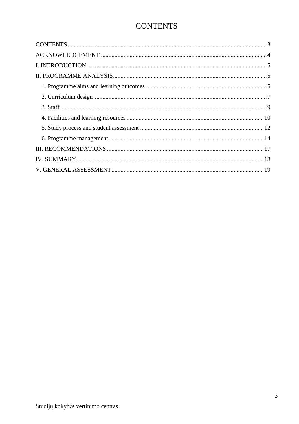## **CONTENTS**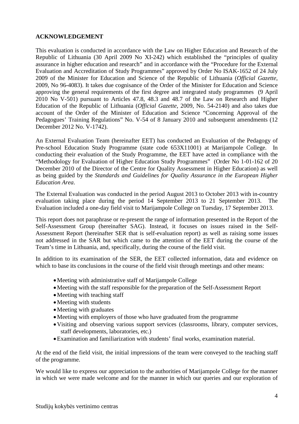#### **ACKNOWLEDGEMENT**

This evaluation is conducted in accordance with the Law on Higher Education and Research of the Republic of Lithuania (30 April 2009 No XI-242) which established the "principles of quality assurance in higher education and research" and in accordance with the "Procedure for the External Evaluation and Accreditation of Study Programmes" approved by Order No ISAK-1652 of 24 July 2009 of the Minister for Education and Science of the Republic of Lithuania (*Official Gazette*, 2009, No 96-4083). It takes due cognisance of the Order of the Minister for Education and Science approving the general requirements of the first degree and integrated study programmes (9 April 2010 No V-501) pursuant to Articles 47.8, 48.3 and 48.7 of the Law on Research and Higher Education of the Republic of Lithuania (*Official Gazette*, 2009, No. 54-2140) and also takes due account of the Order of the Minister of Education and Science "Concerning Approval of the Pedagogues' Training Regulations" No. V-54 of 8 January 2010 and subsequent amendments (12 December 2012 No. V-1742).

An External Evaluation Team (hereinafter EET) has conducted an Evaluation of the Pedagogy of Pre-school Education Study Programme (state code 653X11001) at Marijampole College. In conducting their evaluation of the Study Programme, the EET have acted in compliance with the "Methodology for Evaluation of Higher Education Study Programmes" (Order No 1-01-162 of 20 December 2010 of the Director of the Centre for Quality Assessment in Higher Education) as well as being guided by the *Standards and Guidelines for Quality Assurance in the European Higher Education Area*.

The External Evaluation was conducted in the period August 2013 to October 2013 with in-country evaluation taking place during the period 14 September 2013 to 21 September 2013. The Evaluation included a one-day field visit to Marijampole College on Tuesday, 17 September 2013.

This report does not paraphrase or re-present the range of information presented in the Report of the Self-Assessment Group (hereinafter SAG). Instead, it focuses on issues raised in the Self-Assessment Report (hereinafter SER that is self-evaluation report) as well as raising some issues not addressed in the SAR but which came to the attention of the EET during the course of the Team's time in Lithuania, and, specifically, during the course of the field visit.

In addition to its examination of the SER, the EET collected information, data and evidence on which to base its conclusions in the course of the field visit through meetings and other means:

- •Meeting with administrative staff of Marijampole College
- •Meeting with the staff responsible for the preparation of the Self-Assessment Report
- Meeting with teaching staff
- Meeting with students
- Meeting with graduates
- Meeting with employers of those who have graduated from the programme
- •Visiting and observing various support services (classrooms, library, computer services, staff developments, laboratories, etc.)
- •Examination and familiarization with students' final works, examination material.

At the end of the field visit, the initial impressions of the team were conveyed to the teaching staff of the programme.

We would like to express our appreciation to the authorities of Marijampole College for the manner in which we were made welcome and for the manner in which our queries and our exploration of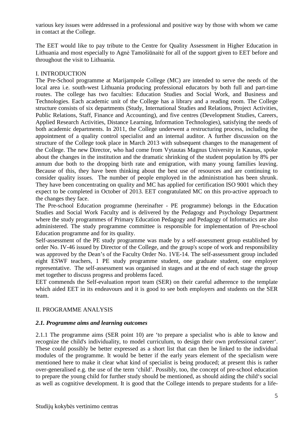various key issues were addressed in a professional and positive way by those with whom we came in contact at the College.

The EET would like to pay tribute to the Centre for Quality Assessment in Higher Education in Lithuania and most especially to Agnė Tamošiūnaitė for all of the support given to EET before and throughout the visit to Lithuania.

#### I. INTRODUCTION

 The Pre-School programme at Marijampole College (MC) are intended to serve the needs of the local area i.e. south-west Lithuania producing professional educators by both full and part-time routes. The college has two faculties: Education Studies and Social Work, and Business and Technologies. Each academic unit of the College has a library and a reading room. The College structure consists of six departments (Study, International Studies and Relations, Project Activities, Public Relations, Staff, Finance and Accounting), and five centres (Development Studies, Careers, Applied Research Activities, Distance Learning, Information Technologies), satisfying the needs of both academic departments. In 2011, the College underwent a restructuring process, including the appointment of a quality control specialist and an internal auditor. A further discussion on the structure of the College took place in March 2013 with subsequent changes to the management of the College. The new Director, who had come from Vytautas Magnus University in Kaunas, spoke about the changes in the institution and the dramatic shrinking of the student population by 8% per annum due both to the dropping birth rate and emigration, with many young families leaving. Because of this, they have been thinking about the best use of resources and are continuing to consider quality issues. The number of people employed in the administration has been shrunk. They have been concentrating on quality and MC has applied for certification ISO 9001 which they expect to be completed in October of 2013. EET congratulated MC on this pro-active approach to the changes they face.

The Pre-school Education programme (hereinafter - PE programme) belongs in the Education Studies and Social Work Faculty and is delivered by the Pedagogy and Psychology Department where the study programmes of Primary Education Pedagogy and Pedagogy of Informatics are also administered. The study programme committee is responsible for implementation of Pre-school Education programme and for its quality.

Self-assessment of the PE study programme was made by a self-assessment group established by order No. IV-46 issued by Director of the College, and the group's scope of work and responsibility was approved by the Dean's of the Faculty Order No. 1VE-14. The self-assessment group included eight ESWF teachers, 1 PE study programme student, one graduate student, one employer representative. The self-assessment was organised in stages and at the end of each stage the group met together to discuss progress and problems faced.

EET commends the Self-evaluation report team (SER) on their careful adherence to the template which aided EET in its endeavours and it is good to see both employers and students on the SER team.

#### II. PROGRAMME ANALYSIS

#### *2.1. Programme aims and learning outcomes*

2.1.1 The programme aims (SER point 10) are 'to prepare a specialist who is able to know and recognize the child's individuality, to model curriculum, to design their own professional career'. These could possibly be better expressed as a short list that can then be linked to the individual modules of the programme. It would be better if the early years element of the specialism were mentioned here to make it clear what kind of specialist is being produced; at present this is rather over-generalised e.g. the use of the term 'child'. Possibly, too, the concept of pre-school education to prepare the young child for further study should be mentioned, as should aiding the child's social as well as cognitive development. It is good that the College intends to prepare students for a life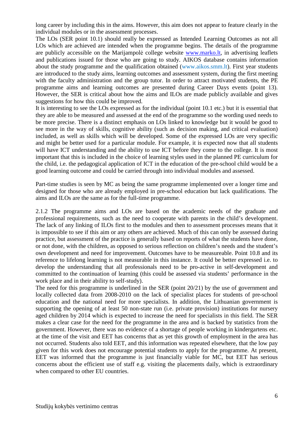long career by including this in the aims. However, this aim does not appear to feature clearly in the individual modules or in the assessment processes.

The LOs (SER point 10.1) should really be expressed as Intended Learning Outcomes as not all LOs which are achieved are intended when the programme begins. The details of the programme are publicly accessible on the Marijampolė college website www.marko.lt, in advertising leaflets and publications issued for those who are going to study. AIKOS database contains information about the study programme and the qualification obtained (www.aikos.smm.lt). First year students are introduced to the study aims, learning outcomes and assessment system, during the first meeting with the faculty administration and the group tutor. In order to attract motivated students, the PE programme aims and learning outcomes are presented during Career Days events (point 13). However, the SER is critical about how the aims and ILOs are made publicly available and gives suggestions for how this could be improved.

It is interesting to see the LOs expressed as for the individual (point 10.1 etc.) but it is essential that they are able to be measured and assessed at the end of the programme so the wording used needs to be more precise. There is a distinct emphasis on LOs linked to knowledge but it would be good to see more in the way of skills, cognitive ability (such as decision making, and critical evaluation) included, as well as skills which will be developed. Some of the expressed LOs are very specific and might be better used for a particular module. For example, it is expected now that all students will have ICT understanding and the ability to use ICT before they come to the college. It is most important that this is included in the choice of learning styles used in the planned PE curriculum for the child, i.e. the pedagogical application of ICT in the education of the pre-school child would be a good learning outcome and could be carried through into individual modules and assessed.

Part-time studies is seen by MC as being the same programme implemented over a longer time and designed for those who are already employed in pre-school education but lack qualifications. The aims and ILOs are the same as for the full-time programme.

2.1.2 The programme aims and LOs are based on the academic needs of the graduate and professional requirements, such as the need to cooperate with parents in the child's development. The lack of any linking of ILOs first to the modules and then to assessment processes means that it is impossible to see if this aim or any others are achieved. Much of this can only be assessed during practice, but assessment of the practice is generally based on reports of what the students have done, or not done, with the children, as opposed to serious reflection on children's needs and the student's own development and need for improvement. Outcomes have to be measureable. Point 10.8 and its reference to lifelong learning is not measurable in this instance. It could be better expressed i.e. to develop the understanding that all professionals need to be pro-active in self-development and committed to the continuation of learning (this could be assessed via students' performance in the work place and in their ability to self-study).

The need for this programme is underlined in the SER (point 20/21) by the use of government and locally collected data from 2008-2010 on the lack of specialist places for students of pre-school education and the national need for more specialists. In addition, the Lithuanian government is supporting the opening of at least 50 non-state run (i.e. private provision) institutions for nursery aged children by 2014 which is expected to increase the need for specialists in this field. The SER makes a clear case for the need for the programme in the area and is backed by statistics from the government. However, there was no evidence of a shortage of people working in kindergartens etc. at the time of the visit and EET has concerns that as yet this growth of employment in the area has not occurred. Students also told EET, and this information was repeated elsewhere, that the low pay given for this work does not encourage potential students to apply for the programme. At present, EET was informed that the programme is just financially viable for MC, but EET has serious concerns about the efficient use of staff e.g. visiting the placements daily, which is extraordinary when compared to other EU countries.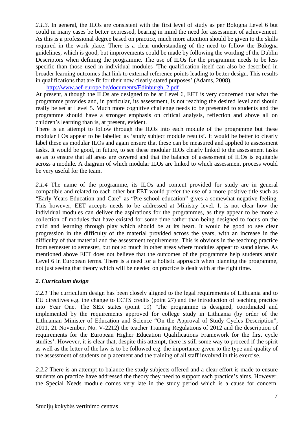2.1.3. In general, the ILOs are consistent with the first level of study as per Bologna Level 6 but could in many cases be better expressed, bearing in mind the need for assessment of achievement. As this is a professional degree based on practice, much more attention should be given to the skills required in the work place. There is a clear understanding of the need to follow the Bologna guidelines, which is good, but improvements could be made by following the wording of the Dublin Descriptors when defining the programme. The use of ILOs for the programme needs to be less specific than those used in individual modules 'The qualification itself can also be described in broader learning outcomes that link to external reference points leading to better design. This results in qualifications that are fit for their now clearly stated purposes' (Adams, 2008).

#### http://www.aef-europe.be/documents/Edinburgh\_2.pdf

At present, although the ILOs are designed to be at Level 6, EET is very concerned that what the programme provides and, in particular, its assessment, is not reaching the desired level and should really be set at Level 5. Much more cognitive challenge needs to be presented to students and the programme should have a stronger emphasis on critical analysis, reflection and above all on children's learning than is, at present, evident.

There is an attempt to follow through the ILOs into each module of the programme but these modular LOs appear to be labelled as 'study subject module results'. It would be better to clearly label these as modular ILOs and again ensure that these can be measured and applied to assessment tasks. It would be good, in future, to see these modular ILOs clearly linked to the assessment tasks so as to ensure that all areas are covered and that the balance of assessment of ILOs is equitable across a module. A diagram of which modular ILOs are linked to which assessment process would be very useful for the team.

2.1.4 The name of the programme, its ILOs and content provided for study are in general compatible and related to each other but EET would prefer the use of a more positive title such as "Early Years Education and Care" as "Pre-school education" gives a somewhat negative feeling. This however, EET accepts needs to be addressed at Ministry level. It is not clear how the individual modules can deliver the aspirations for the programmes, as they appear to be more a collection of modules that have existed for some time rather than being designed to focus on the child and learning through play which should be at its heart. It would be good to see clear progression in the difficulty of the material provided across the years, with an increase in the difficulty of that material and the assessment requirements. This is obvious in the teaching practice from semester to semester, but not so much in other areas where modules appear to stand alone. As mentioned above EET does not believe that the outcomes of the programme help students attain Level 6 in European terms. There is a need for a holistic approach when planning the programme, not just seeing that theory which will be needed on practice is dealt with at the right time.

#### *2. Curriculum design*

2.2.1 The curriculum design has been closely aligned to the legal requirements of Lithuania and to EU directives e.g. the change to ECTS credits (point 27) and the introduction of teaching practice into Year One. The SER states (point 19) 'The programme is designed, coordinated and implemented by the requirements approved for college study in Lithuania (by order of the Lithuanian Minister of Education and Science "On the Approval of Study Cycles Description", 2011, 21 November, No. V-2212) the teacher Training Regulations of 2012 and the description of requirements for the European Higher Education Qualifications Framework for the first cycle studies'. However, it is clear that, despite this attempt, there is still some way to proceed if the spirit as well as the letter of the law is to be followed e.g. the importance given to the type and quality of the assessment of students on placement and the training of all staff involved in this exercise.

*2.2.2* There is an attempt to balance the study subjects offered and a clear effort is made to ensure students on practice have addressed the theory they need to support each practice's aims. However, the Special Needs module comes very late in the study period which is a cause for concern.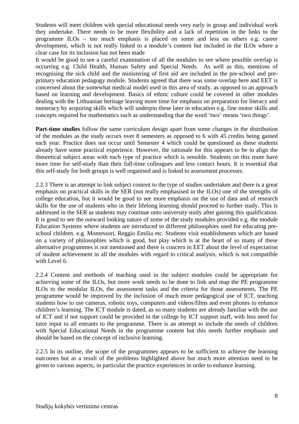Students will meet children with special educational needs very early in group and individual work they undertake. There needs to be more flexibility and a lack of repetition in the links to the programme ILOs – too much emphasis is placed on some and less on others e.g. career development, which is not really linked to a module's content but included in the ILOs where a clear case for its inclusion has not been made

It would be good to see a careful examination of all the modules to see where possible overlap is occurring e.g. Child Health, Human Safety and Special Needs. As well as this, mentions of recognising the sick child and the ministering of first aid are included in the pre-school and preprimary education pedagogy module. Students agreed that there was some overlap here and EET is concerned about the somewhat medical model used in this area of study, as opposed to an approach based on learning and development. Basics of ethnic culture could be covered in other modules dealing with the Lithuanian heritage leaving more time for emphasis on preparation for literacy and numeracy by acquiring skills which will underpin these later in education e.g. fine motor skills and concepts required for mathematics such as understanding that the word 'two' means 'two things'.

**Part-time studies** follow the same curriculum design apart from some changes in the distribution of the modules as the study occurs over 8 semesters as opposed to 6 with 45 credits being gained each year. Practice does not occur until Semester 4 which could be questioned as these students already have some practical experience. However, the rationale for this appears to be to align the theoretical subject areas with each type of practice which is sensible. Students on this route have more time for self-study than their full-time colleagues and less contact hours. It is essential that this self-study for both groups is well organised and is linked to assessment processes.

2.2.3 There is an attempt to link subject content to the type of studies undertaken and there is a great emphasis on practical skills in the SER (not really emphasised in the ILOs) one of the strengths of college education, but it would be good to see more emphasis on the use of data and of research skills for the use of students who in their lifelong learning should proceed to further study. This is addressed in the SER as students may continue onto university study after gaining this qualification. It is good to see the outward looking nature of some of the study modules provided e.g. the module Education Systems where students are introduced to different philosophies used for educating preschool children. e.g. Montessori, Reggio Emilia etc. Students visit establishments which are based on a variety of philosophies which is good, but play which is at the heart of so many of these alternative programmes is not mentioned and there is concern in EET about the level of expectation of student achievement in all the modules with regard to critical analysis, which is not compatible with Level 6.

2.2.4 Content and methods of teaching used in the subject modules could be appropriate for achieving some of the ILOs, but more work needs to be done to link and map the PE programme ILOs to the modular ILOs, the assessment tasks and the criteria for those assessments. The PE programme would be improved by the inclusion of much more pedagogical use of ICT, teaching students how to use cameras, robotic toys, computers and videos/films and even phones to enhance children's learning. The ICT module is dated, as so many students are already familiar with the use of ICT and if not support could be provided in the college by ICT support staff, with less need for tutor input to all entrants to the programme. There is an attempt to include the needs of children with Special Educational Needs in the programme content but this needs further emphasis and should be based on the concept of inclusive learning.

2.2.5 In its outline, the scope of the programmes appears to be sufficient to achieve the learning outcomes but as a result of the problems highlighted above but much more attention need to be given to various aspects, in particular the practice experiences in order to enhance learning.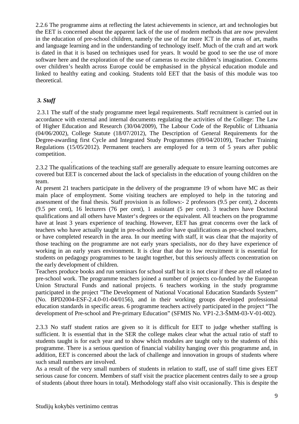2.2.6 The programme aims at reflecting the latest achievements in science, art and technologies but the EET is concerned about the apparent lack of the use of modern methods that are now prevalent in the education of pre-school children, namely the use of far more ICT in the areas of art, maths and language learning and in the understanding of technology itself. Much of the craft and art work is dated in that it is based on techniques used for years. It would be good to see the use of more software here and the exploration of the use of cameras to excite children's imagination. Concerns over children's health across Europe could be emphasised in the physical education module and linked to healthy eating and cooking. Students told EET that the basis of this module was too theoretical.

#### *3. Staff*

 2.3.1 The staff of the study programme meet legal requirements. Staff recruitment is carried out in accordance with external and internal documents regulating the activities of the College: The Law of Higher Education and Research (30/04/2009), The Labour Code of the Republic of Lithuania (04/06/2002), College Statute (18/07/2012), The Description of General Requirements for the Degree-awarding first Cycle and Integrated Study Programmes (09/04/20109), Teacher Training Regulations (15/05/2012). Permanent teachers are employed for a term of 5 years after public competition.

 . 2.3.2 The qualifications of the teaching staff are generally adequate to ensure learning outcomes are covered but EET is concerned about the lack of specialists in the education of young children on the team.

At present 21 teachers participate in the delivery of the programme 19 of whom have MC as their main place of employment. Some visiting teachers are employed to help in the tutoring and assessment of the final thesis. Staff provision is as follows:- 2 professors (9.5 per cent), 2 docents (9.5 per cent), 16 lecturers (76 per cent), 1 assistant (5 per cent). 3 teachers have Doctoral qualifications and all others have Master's degrees or the equivalent. All teachers on the programme have at least 3 years experience of teaching. However, EET has great concerns over the lack of teachers who have actually taught in pre-schools and/or have qualifications as pre-school teachers, or have completed research in the area. In our meeting with staff, it was clear that the majority of those teaching on the programme are not early years specialists, nor do they have experience of working in an early years environment. It is clear that due to low recruitment it is essential for students on pedagogy programmes to be taught together, but this seriously affects concentration on the early development of children.

Teachers produce books and run seminars for school staff but it is not clear if these are all related to pre-school work. The programme teachers joined a number of projects co-funded by the European Union Structural Funds and national projects. 6 teachers working in the study programme participated in the project "The Development of National Vocational Education Standards System" (No. BPD2004-ESF-2.4.0-01-04/0156), and in their working groups developed professional education standards in specific areas. 6 programme teachers actively participated in the project "The development of Pre-school and Pre-primary Education" (SFMIS No. VP1-2.3-ŠMM-03-V-01-002).

2.3.3 No staff student ratios are given so it is difficult for EET to judge whether staffing is sufficient. It is essential that in the SER the college makes clear what the actual ratio of staff to students taught is for each year and to show which modules are taught only to the students of this programme. There is a serious question of financial viability hanging over this programme and, in addition, EET is concerned about the lack of challenge and innovation in groups of students where such small numbers are involved.

As a result of the very small numbers of students in relation to staff, use of staff time gives EET serious cause for concern. Members of staff visit the practice placement centres daily to see a group of students (about three hours in total). Methodology staff also visit occasionally. This is despite the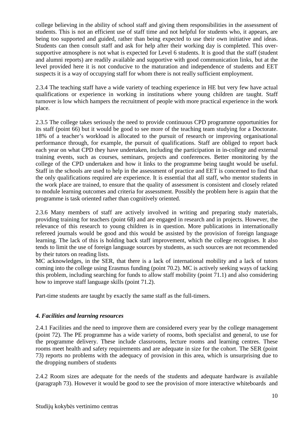college believing in the ability of school staff and giving them responsibilities in the assessment of students. This is not an efficient use of staff time and not helpful for students who, it appears, are being too supported and guided, rather than being expected to use their own initiative and ideas. Students can then consult staff and ask for help after their working day is completed. This oversupportive atmosphere is not what is expected for Level 6 students. It is good that the staff (student and alumni reports) are readily available and supportive with good communication links, but at the level provided here it is not conducive to the maturation and independence of students and EET suspects it is a way of occupying staff for whom there is not really sufficient employment.

2.3.4 The teaching staff have a wide variety of teaching experience in HE but very few have actual qualifications or experience in working in institutions where young children are taught. Staff turnover is low which hampers the recruitment of people with more practical experience in the work place.

2.3.5 The college takes seriously the need to provide continuous CPD programme opportunities for its staff (point 66) but it would be good to see more of the teaching team studying for a Doctorate. 18% of a teacher's workload is allocated to the pursuit of research or improving organisational performance through, for example, the pursuit of qualifications. Staff are obliged to report back each year on what CPD they have undertaken, including the participation in in-college and external training events, such as courses, seminars, projects and conferences. Better monitoring by the college of the CPD undertaken and how it links to the programme being taught would be useful. Staff in the schools are used to help in the assessment of practice and EET is concerned to find that the only qualifications required are experience. It is essential that all staff, who mentor students in the work place are trained, to ensure that the quality of assessment is consistent and closely related to module learning outcomes and criteria for assessment. Possibly the problem here is again that the programme is task oriented rather than cognitively oriented.

2.3.6 Many members of staff are actively involved in writing and preparing study materials, providing training for teachers (point 68) and are engaged in research and in projects. However, the relevance of this research to young children is in question. More publications in internationally refereed journals would be good and this would be assisted by the provision of foreign language learning. The lack of this is holding back staff improvement, which the college recognises. It also tends to limit the use of foreign language sources by students, as such sources are not recommended by their tutors on reading lists.

MC acknowledges, in the SER, that there is a lack of international mobility and a lack of tutors coming into the college using Erasmus funding (point 70.2). MC is actively seeking ways of tacking this problem, including searching for funds to allow staff mobility (point 71.1) and also considering how to improve staff language skills (point 71.2).

Part-time students are taught by exactly the same staff as the full-timers.

#### *4. Facilities and learning resources*

 2.4.1 Facilities and the need to improve them are considered every year by the college management (point 72). The PE programme has a wide variety of rooms, both specialist and general, to use for the programme delivery. These include classrooms, lecture rooms and learning centres. These rooms meet health and safety requirements and are adequate in size for the cohort. The SER (point 73) reports no problems with the adequacy of provision in this area, which is unsurprising due to the dropping numbers of students

2.4.2 Room sizes are adequate for the needs of the students and adequate hardware is available (paragraph 73). However it would be good to see the provision of more interactive whiteboards and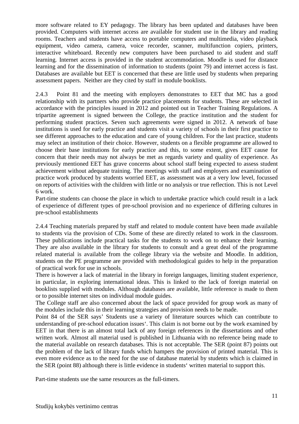more software related to EY pedagogy. The library has been updated and databases have been provided. Computers with internet access are available for student use in the library and reading rooms. Teachers and students have access to portable computers and multimedia, video playback equipment, video camera, camera, voice recorder, scanner, multifunction copiers, printers, interactive whiteboard. Recently new computers have been purchased to aid student and staff learning. Internet access is provided in the student accommodation. Moodle is used for distance learning and for the dissemination of information to students (point 79) and internet access is fast. Databases are available but EET is concerned that these are little used by students when preparing assessment papers. Neither are they cited by staff in module booklists.

 2.4.3 Point 81 and the meeting with employers demonstrates to EET that MC has a good relationship with its partners who provide practice placements for students. These are selected in accordance with the principles issued in 2012 and pointed out in Teacher Training Regulations. A tripartite agreement is signed between the College, the practice institution and the student for performing student practices. Seven such agreements were signed in 2012. A network of base institutions is used for early practice and students visit a variety of schools in their first practice to see different approaches to the education and care of young children. For the last practice, students may select an institution of their choice. However, students on a flexible programme are allowed to choose their base institutions for early practice and this, to some extent, gives EET cause for concern that their needs may not always be met as regards variety and quality of experience. As previously mentioned EET has grave concerns about school staff being expected to assess student achievement without adequate training. The meetings with staff and employers and examination of practice work produced by students worried EET, as assessment was at a very low level, focussed on reports of activities with the children with little or no analysis or true reflection. This is not Level 6 work.

 Part-time students can choose the place in which to undertake practice which could result in a lack of experience of different types of pre-school provision and no experience of differing cultures in pre-school establishments

2.4.4 Teaching materials prepared by staff and related to module content have been made available to students via the provision of CDs. Some of these are directly related to work in the classroom. These publications include practical tasks for the students to work on to enhance their learning. They are also available in the library for students to consult and a great deal of the programme related material is available from the college library via the website and Moodle. In addition, students on the PE programme are provided with methodological guides to help in the preparation of practical work for use in schools.

There is however a lack of material in the library in foreign languages, limiting student experience, in particular, in exploring international ideas. This is linked to the lack of foreign material on booklists supplied with modules. Although databases are available, little reference is made to them or to possible internet sites on individual module guides.

The College staff are also concerned about the lack of space provided for group work as many of the modules include this in their learning strategies and provision needs to be made.

Point 84 of the SER says' Students use a variety of literature sources which can contribute to understanding of pre-school education issues'. This claim is not borne out by the work examined by EET in that there is an almost total lack of any foreign references in the dissertations and other written work. Almost all material used is published in Lithuania with no reference being made to the material available on research databases. This is not acceptable. The SER (point 87) points out the problem of the lack of library funds which hampers the provision of printed material. This is even more evidence as to the need for the use of database material by students which is claimed in the SER (point 88) although there is little evidence in students' written material to support this.

Part-time students use the same resources as the full-timers.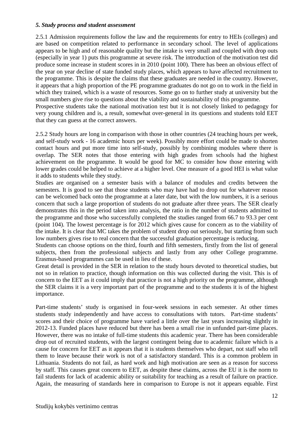#### *5. Study process and student assessment*

2.5.1 Admission requirements follow the law and the requirements for entry to HEIs (colleges) and are based on competition related to performance in secondary school. The level of applications appears to be high and of reasonable quality but the intake is very small and coupled with drop outs (especially in year 1) puts this programme at severe risk. The introduction of the motivation test did produce some increase in student scores in in 2010 (point 100). There has been an obvious effect of the year on year decline of state funded study places, which appears to have affected recruitment to the programme. This is despite the claims that these graduates are needed in the country. However, it appears that a high proportion of the PE programme graduates do not go on to work in the field in which they trained, which is a waste of resources. Some go on to further study at university but the small numbers give rise to questions about the viability and sustainability of this programme. Prospective students take the national motivation test but it is not closely linked to pedagogy for very young children and is, a result, somewhat over-general in its questions and students told EET that they can guess at the correct answers.

2.5.2 Study hours are long in comparison with those in other countries (24 teaching hours per week, and self-study work - 16 academic hours per week). Possibly more effort could be made to shorten contact hours and put more time into self-study, possibly by combining modules where there is overlap. The SER notes that those entering with high grades from schools had the highest achievement on the programme. It would be good for MC to consider how those entering with lower grades could be helped to achieve at a higher level. One measure of a good HEI is what value it adds to students while they study.

Studies are organised on a semester basis with a balance of modules and credits between the semesters. It is good to see that those students who may have had to drop out for whatever reason can be welcomed back onto the programme at a later date, but with the low numbers, it is a serious concern that such a large proportion of students do not graduate after three years. The SER clearly demonstrates this in the period taken into analysis, the ratio in the number of students admitted to the programme and those who successfully completed the studies ranged from 66.7 to 93.3 per cent (point 104). The lowest percentage is for 2012 which gives cause for concern as to the viability of the intake. It is clear that MC takes the problem of student drop out seriously, but starting from such low numbers gives rise to real concern that the successful graduation percentage is reducing.

Students can choose options on the third, fourth and fifth semesters, firstly from the list of general subjects, then from the professional subjects and lastly from any other College programme. Erasmus-based programmes can be used in lieu of these.

Great detail is provided in the SER in relation to the study hours devoted to theoretical studies, but not so in relation to practice, though information on this was collected during the visit. This is of concern to the EET as it could imply that practice is not a high priority on the programme, although the SER claims it is a very important part of the programme and to the students it is of the highest importance.

Part-time students' study is organised in four-week sessions in each semester. At other times students study independently and have access to consultations with tutors. Part-time students' scores and their choice of programme have varied a little over the last years increasing slightly in 2012-13. Funded places have reduced but there has been a small rise in unfunded part-time places. However, there was no intake of full-time students this academic year. There has been considerable drop out of recruited students, with the largest contingent being due to academic failure which is a cause for concern for EET as it appears that it is students themselves who depart, not staff who tell them to leave because their work is not of a satisfactory standard. This is a common problem in Lithuania. Students do not fail, as hard work and high motivation are seen as a reason for success by staff. This causes great concern to EET, as despite these claims, across the EU it is the norm to fail students for lack of academic ability or suitability for teaching as a result of failure on practice. Again, the measuring of standards here in comparison to Europe is not it appears equable. First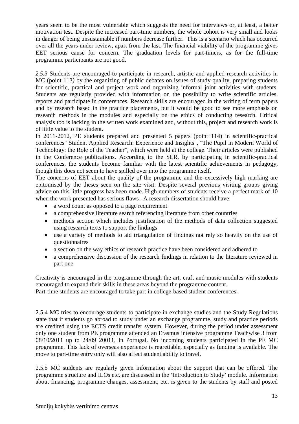years seem to be the most vulnerable which suggests the need for interviews or, at least, a better motivation test. Despite the increased part-time numbers, the whole cohort is very small and looks in danger of being unsustainable if numbers decrease further. This is a scenario which has occurred over all the years under review, apart from the last. The financial viability of the programme gives EET serious cause for concern. The graduation levels for part-timers, as for the full-time programme participants are not good.

2.5.3 Students are encouraged to participate in research, artistic and applied research activities in MC (point 113*)* by the organizing of public debates on issues of study quality, preparing students for scientific, practical and project work and organizing informal joint activities with students. Students are regularly provided with information on the possibility to write scientific articles, reports and participate in conferences. Research skills are encouraged in the writing of term papers and by research based in the practice placements, but it would be good to see more emphasis on research methods in the modules and especially on the ethics of conducting research. Critical analysis too is lacking in the written work examined and, without this, project and research work is of little value to the student.

 In 2011-2012, PE students prepared and presented 5 papers (point 114) in scientific-practical conferences "Student Applied Research: Experience and Insights", "The Pupil in Modern World of Technology: the Role of the Teacher", which were held at the college. Their articles were published in the Conference publications. According to the SER, by participating in scientific-practical conferences, the students become familiar with the latest scientific achievements in pedagogy, though this does not seem to have spilled over into the programme itself.

The concerns of EET about the quality of the programme and the excessively high marking are epitomised by the theses seen on the site visit. Despite several previous visiting groups giving advice on this little progress has been made. High numbers of students receive a perfect mark of 10 when the work presented has serious flaws . A research dissertation should have:

- a word count as opposed to a page requirement
- a comprehensive literature search referencing literature from other countries
- methods section which includes justification of the methods of data collection suggested using research texts to support the findings
- use a variety of methods to aid triangulation of findings not rely so heavily on the use of questionnaires
- a section on the way ethics of research practice have been considered and adhered to
- a comprehensive discussion of the research findings in relation to the literature reviewed in part one

 Creativity is encouraged in the programme through the art, craft and music modules with students encouraged to expand their skills in these areas beyond the programme content.

Part-time students are encouraged to take part in college-based student conferences.

2.5.4 MC tries to encourage students to participate in exchange studies and the Study Regulations state that if students go abroad to study under an exchange programme, study and practice periods are credited using the ECTS credit transfer system. However, during the period under assessment only one student from PE programme attended an Erasmus intensive programme Teachwise 3 from 08/10/2011 up to 24/09 20011, in Portugal. No incoming students participated in the PE MC programme. This lack of overseas experience is regrettable, especially as funding is available. The move to part-time entry only will also affect student ability to travel.

 2.5.5 MC students are regularly given information about the support that can be offered. The programme structure and ILOs etc. are discussed in the 'Introduction to Study' module. Information about financing, programme changes, assessment, etc. is given to the students by staff and posted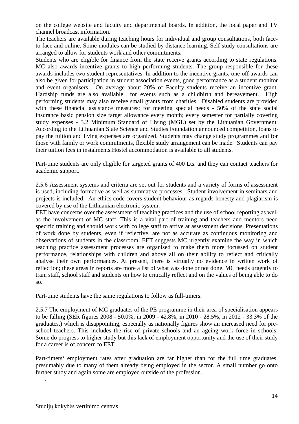on the college website and faculty and departmental boards. In addition, the local paper and TV channel broadcast information.

 The teachers are available during teaching hours for individual and group consultations, both faceto-face and online. Some modules can be studied by distance learning. Self-study consultations are arranged to allow for students work and other commitments.

Students who are eligible for finance from the state receive grants according to state regulations. MC also awards incentive grants to high performing students. The group responsible for these awards includes two student representatives. In addition to the incentive grants, one-off awards can also be given for participation in student association events, good performance as a student monitor and event organisers. On average about 20% of Faculty students receive an incentive grant. Hardship funds are also available for events such as a childbirth and bereavement. High performing students may also receive small grants from charities. Disabled students are provided with these financial assistance measures: for meeting special needs - 50% of the state social insurance basic pension size target allowance every month; every semester for partially covering study expenses - 3.2 Minimum Standard of Living (MGL) set by the Lithuanian Government. According to the Lithuanian State Science and Studies Foundation announced competition, loans to pay the tuition and living expenses are organized. Students may change study programmes and for those with family or work commitments, flexible study arrangement can be made. Students can pay their tuition fees in instalments.Hostel accommodation is available to all students.

Part-time students are only eligible for targeted grants of 400 Lts. and they can contact teachers for academic support.

 2.5.6 Assessment systems and criteria are set out for students and a variety of forms of assessment is used, including formative as well as summative processes. Student involvement in seminars and projects is included. An ethics code covers student behaviour as regards honesty and plagiarism is covered by use of the Lithuanian electronic system.

 EET have concerns over the assessment of teaching practices and the use of school reporting as well as the involvement of MC staff. This is a vital part of training and teachers and mentors need specific training and should work with college staff to arrive at assessment decisions. Presentations of work done by students, even if reflective, are not as accurate as continuous monitoring and observations of students in the classroom. EET suggests MC urgently examine the way in which teaching practice assessment processes are organised to make them more focussed on student performance, relationships with children and above all on their ability to reflect and critically analyse their own performances. At present, there is virtually no evidence in written work of reflection; these areas in reports are more a list of what was done or not done. MC needs urgently to train staff, school staff and students on how to critically reflect and on the values of being able to do so.

Part-time students have the same regulations to follow as full-timers.

 2.5.7 The employment of MC graduates of the PE programme in their area of specialisation appears to be falling (SER figures 2008 - 50.0%, in 2009 - 42.8%, in 2010 - 28.5%, in 2012 - 33.3% of the graduates.) which is disappointing, especially as nationally figures show an increased need for preschool teachers. This includes the rise of private schools and an ageing work force in schools. Some do progress to higher study but this lack of employment opportunity and the use of their study for a career is of concern to EET.

 Part-timers' employment rates after graduation are far higher than for the full time graduates, presumably due to many of them already being employed in the sector. A small number go onto further study and again some are employed outside of the profession.

.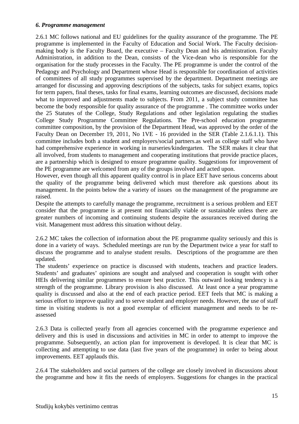#### *6. Programme management*

2.6.1 MC follows national and EU guidelines for the quality assurance of the programme. The PE programme is implemented in the Faculty of Education and Social Work. The Faculty decisionmaking body is the Faculty Board, the executive – Faculty Dean and his administration. Faculty Administration, in addition to the Dean, consists of the Vice-dean who is responsible for the organisation for the study processes in the Faculty. The PE programme is under the control of the Pedagogy and Psychology and Department whose Head is responsible for coordination of activities of committees of all study programmes supervised by the department. Department meetings are arranged for discussing and approving descriptions of the subjects, tasks for subject exams, topics for term papers, final theses, tasks for final exams, learning outcomes are discussed, decisions made what to improved and adjustments made to subjects. From 2011, a subject study committee has become the body responsible for quality assurance of the programme . The committee works under the 25 Statutes of the College, Study Regulations and other legislation regulating the studies College Study Programme Committee Regulations. The Pre-school education programme committee composition, by the provision of the Department Head, was approved by the order of the Faculty Dean on December 19, 2011, No 1VE - 16 provided in the SER (Table 2.1.6.1.1). This committee includes both a student and employers/social partners.as well as college staff who have had comprehensive experience in working in nurseries/kindergarten. The SER makes it clear that all involved, from students to management and cooperating institutions that provide practice places, are a partnership which is designed to ensure programme quality. Suggestions for improvement of the PE programme are welcomed from any of the groups involved and acted upon.

However, even though all this apparent quality control is in place EET have serious concerns about the quality of the programme being delivered which must therefore ask questions about its management. In the points below the a variety of issues on the management of the programme are raised.

Despite the attempts to carefully manage the programme, recruitment is a serious problem and EET consider that the programme is at present not financially viable or sustainable unless there are greater numbers of incoming and continuing students despite the assurances received during the visit. Management must address this situation without delay.

2.6.2 MC takes the collection of information about the PE programme quality seriously and this is done in a variety of ways. Scheduled meetings are run by the Department twice a year for staff to discuss the programme and to analyse student results. Descriptions of the programme are then updated.

The students' experience on practice is discussed with students, teachers and practice leaders. Students' and graduates' opinions are sought and analysed and cooperation is sought with other HEIs delivering similar programmes to ensure best practice. This outward looking tendency is a strength of the programme. Library provision is also discussed. At least once a year programme quality is discussed and also at the end of each practice period. EET feels that MC is making a serious effort to improve quality and to serve student and employer needs. However, the use of staff time in visiting students is not a good exemplar of efficient management and needs to be reassessed

2.6.3 Data is collected yearly from all agencies concerned with the programme experience and delivery and this is used in discussions and activities in MC in order to attempt to improve the programme. Subsequently, an action plan for improvement is developed. It is clear that MC is collecting and attempting to use data (last five years of the programme) in order to being about improvements. EET applauds this.

2.6.4 The stakeholders and social partners of the college are closely involved in discussions about the programme and how it fits the needs of employers. Suggestions for changes in the practical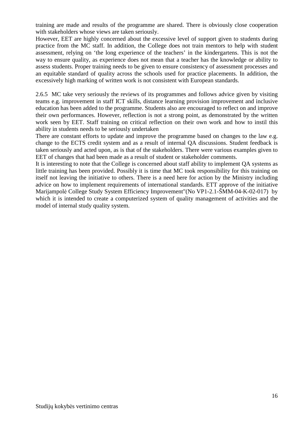training are made and results of the programme are shared. There is obviously close cooperation with stakeholders whose views are taken seriously.

However, EET are highly concerned about the excessive level of support given to students during practice from the MC staff. In addition, the College does not train mentors to help with student assessment, relying on 'the long experience of the teachers' in the kindergartens. This is not the way to ensure quality, as experience does not mean that a teacher has the knowledge or ability to assess students. Proper training needs to be given to ensure consistency of assessment processes and an equitable standard of quality across the schools used for practice placements. In addition, the excessively high marking of written work is not consistent with European standards.

2.6.5 MC take very seriously the reviews of its programmes and follows advice given by visiting teams e.g. improvement in staff ICT skills, distance learning provision improvement and inclusive education has been added to the programme. Students also are encouraged to reflect on and improve their own performances. However, reflection is not a strong point, as demonstrated by the written work seen by EET. Staff training on critical reflection on their own work and how to instil this ability in students needs to be seriously undertaken

There are constant efforts to update and improve the programme based on changes to the law e.g. change to the ECTS credit system and as a result of internal QA discussions. Student feedback is taken seriously and acted upon, as is that of the stakeholders. There were various examples given to EET of changes that had been made as a result of student or stakeholder comments.

It is interesting to note that the College is concerned about staff ability to implement QA systems as little training has been provided. Possibly it is time that MC took responsibility for this training on itself not leaving the initiative to others. There is a need here for action by the Ministry including advice on how to implement requirements of international standards. ETT approve of the initiative Marijampolė College Study System Efficiency Improvement"(No VP1-2.1-ŠMM-04-K-02-017) by which it is intended to create a computerized system of quality management of activities and the model of internal study quality system.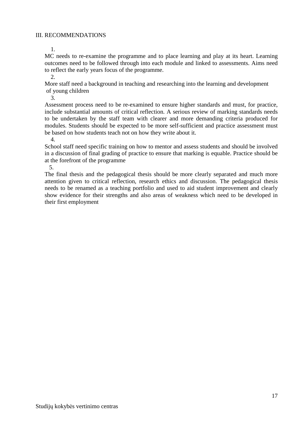1.

MC needs to re-examine the programme and to place learning and play at its heart. Learning outcomes need to be followed through into each module and linked to assessments. Aims need to reflect the early years focus of the programme.

2.

More staff need a background in teaching and researching into the learning and development of young children

3.

Assessment process need to be re-examined to ensure higher standards and must, for practice, include substantial amounts of critical reflection. A serious review of marking standards needs to be undertaken by the staff team with clearer and more demanding criteria produced for modules. Students should be expected to be more self-sufficient and practice assessment must be based on how students teach not on how they write about it.

4.

School staff need specific training on how to mentor and assess students and should be involved in a discussion of final grading of practice to ensure that marking is equable. Practice should be at the forefront of the programme

5.

The final thesis and the pedagogical thesis should be more clearly separated and much more attention given to critical reflection, research ethics and discussion. The pedagogical thesis needs to be renamed as a teaching portfolio and used to aid student improvement and clearly show evidence for their strengths and also areas of weakness which need to be developed in their first employment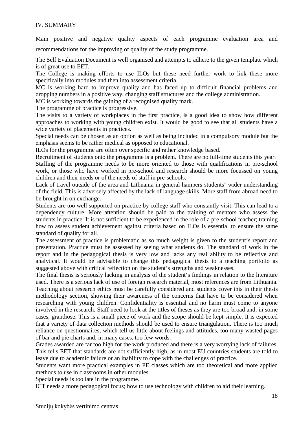#### IV. SUMMARY

Main positive and negative quality aspects of each programme evaluation area and recommendations for the improving of quality of the study programme.

 The Self Evaluation Document is well organised and attempts to adhere to the given template which is of great use to EET.

The College is making efforts to use ILOs but these need further work to link these more specifically into modules and then into assessment criteria.

 MC is working hard to improve quality and has faced up to difficult financial problems and dropping numbers in a positive way, changing staff structures and the college administration.

MC is working towards the gaining of a recognised quality mark.

The programme of practice is progressive.

 The visits to a variety of workplaces in the first practice, is a good idea to show how different approaches to working with young children exist. It would be good to see that all students have a wide variety of placements in practices.

Special needs can be chosen as an option as well as being included in a compulsory module but the emphasis seems to be rather medical as opposed to educational.

ILOs for the programme are often over specific and rather knowledge based.

 Recruitment of students onto the programme is a problem. There are no full-time students this year. Staffing of the programme needs to be more oriented to those with qualifications in pre-school work, or those who have worked in pre-school and research should be more focussed on young children and their needs or of the needs of staff in pre-schools.

Lack of travel outside of the area and Lithuania in general hampers students' wider understanding of the field. This is adversely affected by the lack of language skills. More staff from abroad need to be brought in on exchange.

Students are too well supported on practice by college staff who constantly visit. This can lead to a dependency culture. More attention should be paid to the training of mentors who assess the students in practice. It is not sufficient to be experienced in the role of a pre-school teacher; training how to assess student achievement against criteria based on ILOs is essential to ensure the same standard of quality for all.

The assessment of practice is problematic as so much weight is given to the student's report and presentation. Practice must be assessed by seeing what students do. The standard of work in the report and in the pedagogical thesis is very low and lacks any real ability to be reflective and analytical. It would be advisable to change this pedagogical thesis to a teaching portfolio as suggested above with critical reflection on the student's strengths and weaknesses.

The final thesis is seriously lacking in analysis of the student's findings in relation to the literature used. There is a serious lack of use of foreign research material, most references are from Lithuania. Teaching about research ethics must be carefully considered and students cover this in their thesis methodology section, showing their awareness of the concerns that have to be considered when researching with young children. Confidentiality is essential and no harm must come to anyone involved in the research. Staff need to look at the titles of theses as they are too broad and, in some cases, grandiose. This is a small piece of work and the scope should be kept simple. It is expected that a variety of data collection methods should be used to ensure triangulation. There is too much reliance on questionnaires, which tell us little about feelings and attitudes, too many wasted pages of bar and pie charts and, in many cases, too few words.

Grades awarded are far too high for the work produced and there is a very worrying lack of failures. This tells EET that standards are not sufficiently high, as in most EU countries students are told to leave due to academic failure or an inability to cope with the challenges of practice.

Students want more practical examples in PE classes which are too theoretical and more applied methods to use in classrooms in other modules.

Special needs is too late in the programme.

ICT needs a more pedagogical focus; how to use technology with children to aid their learning.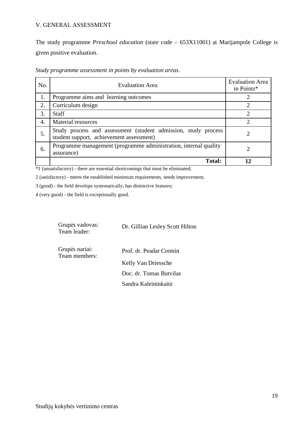#### V. GENERAL ASSESSMENT

The study programme *Preschool education* (state code – 653X11001) at Marijampole College is given positive evaluation.

| No. | <b>Evaluation Area</b>                                                                                     | <b>Evaluation Area</b><br>in Points* |
|-----|------------------------------------------------------------------------------------------------------------|--------------------------------------|
| 1.  | Programme aims and learning outcomes                                                                       |                                      |
| 2.  | Curriculum design                                                                                          |                                      |
| 3.  | <b>Staff</b>                                                                                               | $\mathcal{D}_{\mathcal{L}}$          |
| 4.  | Material resources                                                                                         | $\mathfrak{D}$                       |
| 5.  | Study process and assessment (student admission, study process<br>student support, achievement assessment) |                                      |
| 6.  | Programme management (programme administration, internal quality<br>assurance)                             |                                      |
|     | Total:                                                                                                     |                                      |

*Study programme assessment in points by evaluation areas*.

\*1 (unsatisfactory) - there are essential shortcomings that must be eliminated;

2 (satisfactory) - meets the established minimum requirements, needs improvement;

3 (good) - the field develops systematically, has distinctive features;

4 (very good) - the field is exceptionally good.

| Grupės vadovas:<br>Team leader: | Dr. Gillian Lesley Scott Hilton |  |
|---------------------------------|---------------------------------|--|
| Grupės nariai:                  | Prof. dr. Peadar Cremin         |  |

Sandra Kaleininkaitė

Team members: Kelly Van Driessche Doc. dr. Tomas Butvilas

Studijų kokybės vertinimo centras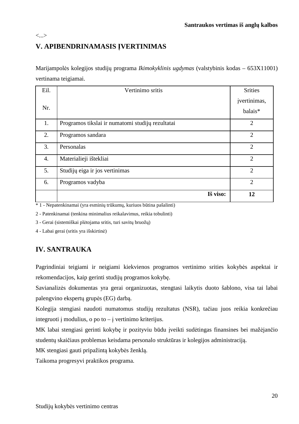## **V. APIBENDRINAMASIS ĮVERTINIMAS**

<...>

Marijampolės kolegijos studijų programa *Ikimokyklinis ugdymas* (valstybinis kodas – 653X11001) vertinama teigiamai.

| Eil. | Vertinimo sritis                                 | <b>Srities</b> |
|------|--------------------------------------------------|----------------|
|      |                                                  | įvertinimas,   |
| Nr.  |                                                  | balais*        |
| 1.   | Programos tikslai ir numatomi studijų rezultatai | $\overline{2}$ |
| 2.   | Programos sandara                                | $\overline{2}$ |
| 3.   | Personalas                                       | $\overline{2}$ |
| 4.   | Materialieji ištekliai                           | $\overline{2}$ |
| 5.   | Studijų eiga ir jos vertinimas                   | $\overline{2}$ |
| 6.   | Programos vadyba                                 | $\overline{2}$ |
|      | Iš viso:                                         | 12             |

\* 1 - Nepatenkinamai (yra esminių trūkumų, kuriuos būtina pašalinti)

2 - Patenkinamai (tenkina minimalius reikalavimus, reikia tobulinti)

3 - Gerai (sistemiškai plėtojama sritis, turi savitų bruožų)

4 - Labai gerai (sritis yra išskirtinė)

### **IV. SANTRAUKA**

Pagrindiniai teigiami ir neigiami kiekvienos programos vertinimo srities kokybės aspektai ir rekomendacijos, kaip gerinti studijų programos kokybę.

Savianalizės dokumentas yra gerai organizuotas, stengtasi laikytis duoto šablono, visa tai labai palengvino ekspertų grupės (EG) darbą.

Kolegija stengiasi naudoti numatomus studijų rezultatus (NSR), tačiau juos reikia konkrečiau integruoti į modulius, o po to – į vertinimo kriterijus.

 MK labai stengiasi gerinti kokybę ir pozityviu būdu įveikti sudėtingas finansines bei mažėjančio studentų skaičiaus problemas keisdama personalo struktūras ir kolegijos administraciją.

MK stengiasi gauti pripažintą kokybės ženklą.

Taikoma progresyvi praktikos programa.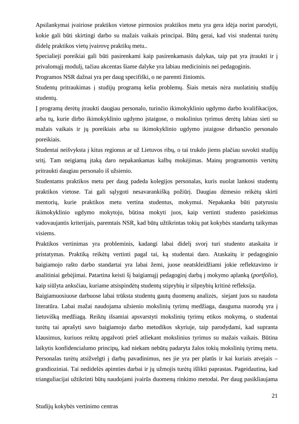Apsilankymai įvairiose praktikos vietose pirmosios praktikos metu yra gera idėja norint parodyti, kokie gali būti skirtingi darbo su mažais vaikais principai. Būtų gerai, kad visi studentai turėtų didelę praktikos vietų įvairovę praktikų metu..

Specialieji poreikiai gali būti pasirenkami kaip pasirenkamasis dalykas, taip pat yra įtraukti ir į privalomąjį modulį, tačiau akcentas šiame dalyke yra labiau medicininis nei pedagoginis.

Programos NSR dažnai yra per daug specifiški, o ne paremti žiniomis.

 Studentų pritraukimas į studijų programą kelia problemų. Šiais metais nėra nuolatinių studijų studentų.

Į programą derėtų įtraukti daugiau personalo, turinčio ikimokyklinio ugdymo darbo kvalifikacijos, arba tų, kurie dirbo ikimokyklinio ugdymo įstaigose, o mokslinius tyrimus derėtų labiau sieti su mažais vaikais ir jų poreikiais arba su ikimokyklinio ugdymo įstaigose dirbančio personalo poreikiais.

Studentai neišvyksta į kitus regionus ar už Lietuvos ribų, o tai trukdo jiems plačiau suvokti studijų sritį. Tam neigiamą įtaką daro nepakankamas kalbų mokėjimas. Mainų programomis vertėtų pritraukti daugiau personalo iš užsienio.

Studentams praktikos metu per daug padeda kolegijos personalas, kuris nuolat lankosi studentų praktikos vietose. Tai gali sąlygoti nesavarankišką požiūrį. Daugiau dėmesio reikėtų skirti mentorių, kurie praktikos metu vertina studentus, mokymui. Nepakanka būti patyrusiu ikimokyklinio ugdymo mokytoju, būtina mokyti juos, kaip vertinti studento pasiekimus vadovaujantis kriterijais, paremtais NSR, kad būtų užtikrintas tokių pat kokybės standartų taikymas visiems.

Praktikos vertinimas yra probleminis, kadangi labai didelį svorį turi studento ataskaita ir pristatymas. Praktiką reikėtų vertinti pagal tai, ką studentai daro. Ataskaitų ir pedagoginio baigiamojo rašto darbo standartai yra labai žemi, juose neatskleidžiami jokie reflektavimo ir analitiniai gebėjimai. Patartina keisti šį baigiamąjį pedagoginį darbą į mokymo aplanką (*portfolio*), kaip siūlyta anksčiau, kuriame atsispindėtų studentų stiprybių ir silpnybių kritinė refleksija.

Baigiamuosiuose darbuose labai trūksta studentų gautų duomenų analizės, siejant juos su naudota literatūra. Labai mažai naudojama užsienio mokslinių tyrimų medžiaga, dauguma nuorodų yra į lietuvišką medžiagą. Reiktų išsamiai apsvarstyti mokslinių tyrimų etikos mokymą, o studentai turėtų tai aprašyti savo baigiamojo darbo metodikos skyriuje, taip parodydami, kad supranta klausimus, kuriuos reiktų apgalvoti prieš atliekant mokslinius tyrimus su mažais vaikais. Būtina laikytis konfidencialumo principų, kad niekam nebūtų padaryta žalos tokių mokslinių tyrimų metu. Personalas turėtų atsižvelgti į darbų pavadinimus, nes jie yra per platūs ir kai kuriais atvejais – grandioziniai. Tai nedidelės apimties darbai ir jų užmojis turėtų išlikti paprastas. Pageidautina, kad trianguliacijai užtikrinti būtų naudojami įvairūs duomenų rinkimo metodai. Per daug pasikliaujama